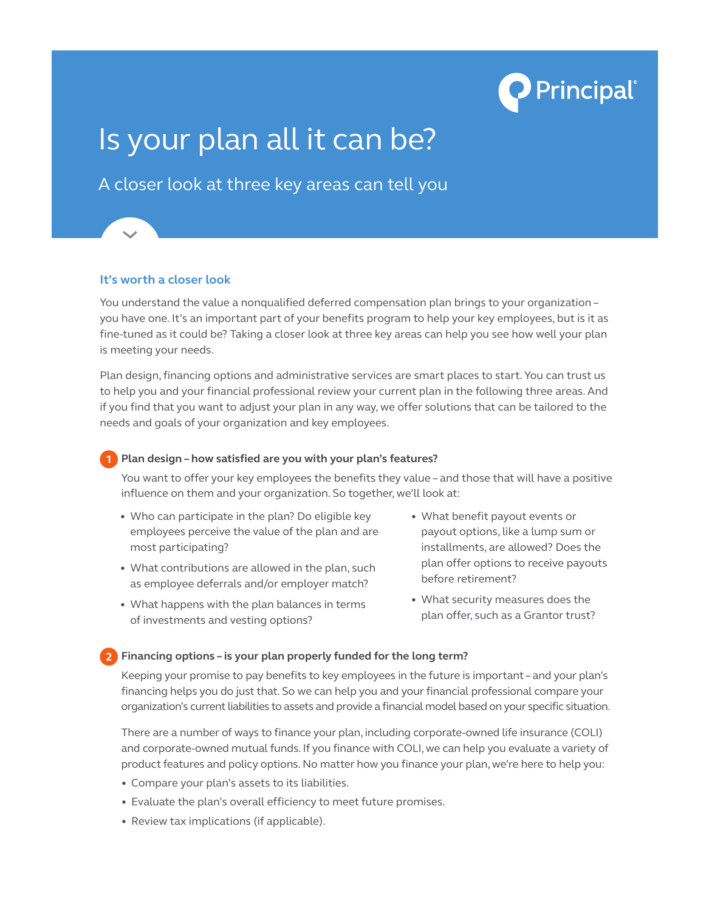

# Is your plan all it can be?

# A closer look at three key areas can tell you

#### **It's worth a closer look**

You understand the value a nonqualified deferred compensation plan brings to your organization – you have one. It's an important part of your benefits program to help your key employees, but is it as fine-tuned as it could be? Taking a closer look at three key areas can help you see how well your plan is meeting your needs.

Plan design, financing options and administrative services are smart places to start. You can trust us to help you and your financial professional review your current plan in the following three areas. And if you find that you want to adjust your plan in any way, we offer solutions that can be tailored to the needs and goals of your organization and key employees.

#### **Plan design – how satisfied are you with your plan's features?**

 You want to offer your key employees the benefits they value – and those that will have a positive influence on them and your organization. So together, we'll look at:

- Who can participate in the plan? Do eligible key employees perceive the value of the plan and are most participating?
- What contributions are allowed in the plan, such as employee deferrals and/or employer match?
- What happens with the plan balances in terms of investments and vesting options?
- • What benefit payout events or payout options, like a lump sum or installments, are allowed? Does the plan offer options to receive payouts before retirement?
- • What security measures does the plan offer, such as a Grantor trust?

#### **Financing options – is your plan properly funded for the long term?**

 Keeping your promise to pay benefits to key employees in the future is important – and your plan's financing helps you do just that. So we can help you and your financial professional compare your organization's current liabilities to assets and provide a financial model based on your specific situation.

 There are a number of ways to finance your plan, including corporate-owned life insurance (COLI) and corporate-owned mutual funds. If you finance with COLI, we can help you evaluate a variety of product features and policy options. No matter how you finance your plan, we're here to help you:

- • Compare your plan's assets to its liabilities.
- Evaluate the plan's overall efficiency to meet future promises.
- Review tax implications (if applicable).